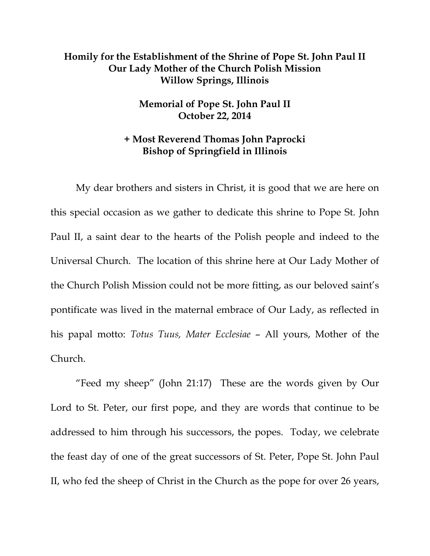## **Homily for the Establishment of the Shrine of Pope St. John Paul II Our Lady Mother of the Church Polish Mission Willow Springs, Illinois**

## **Memorial of Pope St. John Paul II October 22, 2014**

## **+ Most Reverend Thomas John Paprocki Bishop of Springfield in Illinois**

 My dear brothers and sisters in Christ, it is good that we are here on this special occasion as we gather to dedicate this shrine to Pope St. John Paul II, a saint dear to the hearts of the Polish people and indeed to the Universal Church. The location of this shrine here at Our Lady Mother of the Church Polish Mission could not be more fitting, as our beloved saint's pontificate was lived in the maternal embrace of Our Lady, as reflected in his papal motto: *Totus Tuus, Mater Ecclesiae* – All yours, Mother of the Church.

"Feed my sheep" (John 21:17) These are the words given by Our Lord to St. Peter, our first pope, and they are words that continue to be addressed to him through his successors, the popes. Today, we celebrate the feast day of one of the great successors of St. Peter, Pope St. John Paul II, who fed the sheep of Christ in the Church as the pope for over 26 years,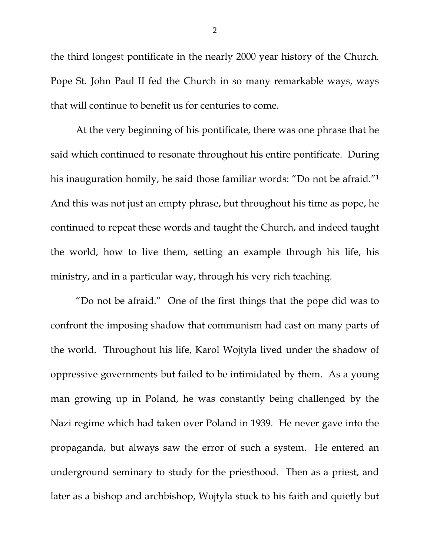the third longest pontificate in the nearly 2000 year history of the Church. Pope St. John Paul II fed the Church in so many remarkable ways, ways that will continue to benefit us for centuries to come.

 At the very beginning of his pontificate, there was one phrase that he said which continued to resonate throughout his entire pontificate. During his inauguration homily, he said those familiar words: "Do not be afraid."<sup>1</sup> And this was not just an empty phrase, but throughout his time as pope, he continued to repeat these words and taught the Church, and indeed taught the world, how to live them, setting an example through his life, his ministry, and in a particular way, through his very rich teaching.

 "Do not be afraid." One of the first things that the pope did was to confront the imposing shadow that communism had cast on many parts of the world. Throughout his life, Karol Wojtyla lived under the shadow of oppressive governments but failed to be intimidated by them. As a young man growing up in Poland, he was constantly being challenged by the Nazi regime which had taken over Poland in 1939. He never gave into the propaganda, but always saw the error of such a system. He entered an underground seminary to study for the priesthood. Then as a priest, and later as a bishop and archbishop, Wojtyla stuck to his faith and quietly but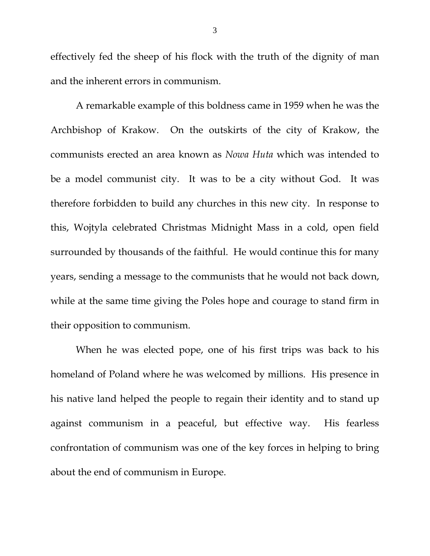effectively fed the sheep of his flock with the truth of the dignity of man and the inherent errors in communism.

A remarkable example of this boldness came in 1959 when he was the Archbishop of Krakow. On the outskirts of the city of Krakow, the communists erected an area known as *Nowa Huta* which was intended to be a model communist city. It was to be a city without God. It was therefore forbidden to build any churches in this new city. In response to this, Wojtyla celebrated Christmas Midnight Mass in a cold, open field surrounded by thousands of the faithful. He would continue this for many years, sending a message to the communists that he would not back down, while at the same time giving the Poles hope and courage to stand firm in their opposition to communism.

When he was elected pope, one of his first trips was back to his homeland of Poland where he was welcomed by millions. His presence in his native land helped the people to regain their identity and to stand up against communism in a peaceful, but effective way. His fearless confrontation of communism was one of the key forces in helping to bring about the end of communism in Europe.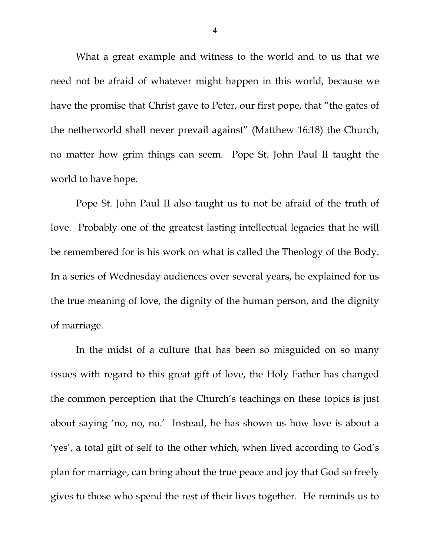What a great example and witness to the world and to us that we need not be afraid of whatever might happen in this world, because we have the promise that Christ gave to Peter, our first pope, that "the gates of the netherworld shall never prevail against" (Matthew 16:18) the Church, no matter how grim things can seem. Pope St. John Paul II taught the world to have hope.

 Pope St. John Paul II also taught us to not be afraid of the truth of love. Probably one of the greatest lasting intellectual legacies that he will be remembered for is his work on what is called the Theology of the Body. In a series of Wednesday audiences over several years, he explained for us the true meaning of love, the dignity of the human person, and the dignity of marriage.

In the midst of a culture that has been so misguided on so many issues with regard to this great gift of love, the Holy Father has changed the common perception that the Church's teachings on these topics is just about saying 'no, no, no.' Instead, he has shown us how love is about a 'yes', a total gift of self to the other which, when lived according to God's plan for marriage, can bring about the true peace and joy that God so freely gives to those who spend the rest of their lives together. He reminds us to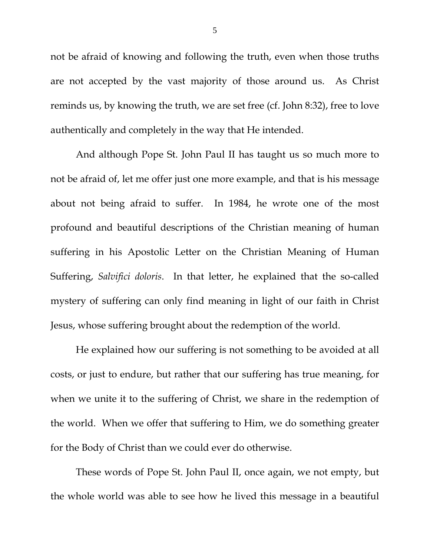not be afraid of knowing and following the truth, even when those truths are not accepted by the vast majority of those around us. As Christ reminds us, by knowing the truth, we are set free (cf. John 8:32), free to love authentically and completely in the way that He intended.

 And although Pope St. John Paul II has taught us so much more to not be afraid of, let me offer just one more example, and that is his message about not being afraid to suffer. In 1984, he wrote one of the most profound and beautiful descriptions of the Christian meaning of human suffering in his Apostolic Letter on the Christian Meaning of Human Suffering, *Salvifici doloris*. In that letter, he explained that the so-called mystery of suffering can only find meaning in light of our faith in Christ Jesus, whose suffering brought about the redemption of the world.

He explained how our suffering is not something to be avoided at all costs, or just to endure, but rather that our suffering has true meaning, for when we unite it to the suffering of Christ, we share in the redemption of the world. When we offer that suffering to Him, we do something greater for the Body of Christ than we could ever do otherwise.

These words of Pope St. John Paul II, once again, we not empty, but the whole world was able to see how he lived this message in a beautiful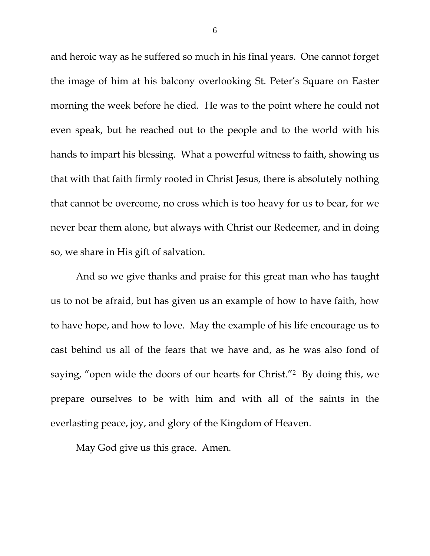and heroic way as he suffered so much in his final years. One cannot forget the image of him at his balcony overlooking St. Peter's Square on Easter morning the week before he died. He was to the point where he could not even speak, but he reached out to the people and to the world with his hands to impart his blessing. What a powerful witness to faith, showing us that with that faith firmly rooted in Christ Jesus, there is absolutely nothing that cannot be overcome, no cross which is too heavy for us to bear, for we never bear them alone, but always with Christ our Redeemer, and in doing so, we share in His gift of salvation.

 And so we give thanks and praise for this great man who has taught us to not be afraid, but has given us an example of how to have faith, how to have hope, and how to love. May the example of his life encourage us to cast behind us all of the fears that we have and, as he was also fond of saying, "open wide the doors of our hearts for Christ."2 By doing this, we prepare ourselves to be with him and with all of the saints in the everlasting peace, joy, and glory of the Kingdom of Heaven.

May God give us this grace. Amen.